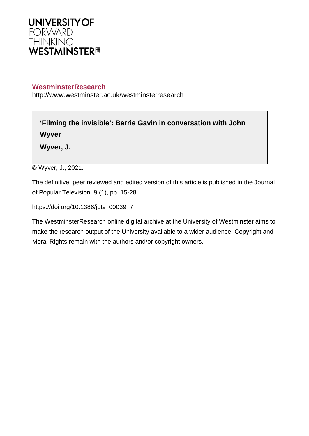

# **WestminsterResearch**

http://www.westminster.ac.uk/westminsterresearch

**'Filming the invisible': Barrie Gavin in conversation with John Wyver**

**Wyver, J.**

© Wyver, J., 2021.

The definitive, peer reviewed and edited version of this article is published in the Journal of Popular Television, 9 (1), pp. 15-28:

[https://doi.org/10.1386/jptv\\_00039\\_7](https://doi.org/10.1386/jptv_00039_7)

The WestminsterResearch online digital archive at the University of Westminster aims to make the research output of the University available to a wider audience. Copyright and Moral Rights remain with the authors and/or copyright owners.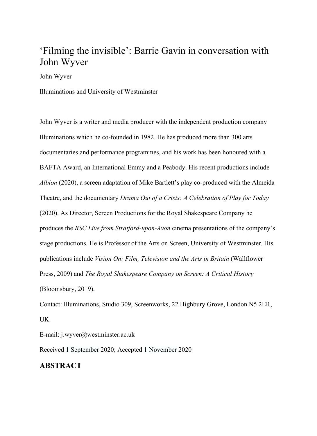# 'Filming the invisible': Barrie Gavin in conversation with John Wyver

John Wyver

Illuminations and University of Westminster

John Wyver is a writer and media producer with the independent production company Illuminations which he co-founded in 1982. He has produced more than 300 arts documentaries and performance programmes, and his work has been honoured with a BAFTA Award, an International Emmy and a Peabody. His recent productions include *Albion* (2020), a screen adaptation of Mike Bartlett's play co-produced with the Almeida Theatre, and the documentary *Drama Out of a Crisis: A Celebration of Play for Today* (2020). As Director, Screen Productions for the Royal Shakespeare Company he produces the *RSC Live from Stratford-upon-Avon* cinema presentations of the company's stage productions. He is Professor of the Arts on Screen, University of Westminster. His publications include *Vision On: Film, Television and the Arts in Britain* (Wallflower Press, 2009) and *The Royal Shakespeare Company on Screen: A Critical History* (Bloomsbury, 2019).

Contact: Illuminations, Studio 309, Screenworks, 22 Highbury Grove, London N5 2ER, UK.

E-mail: j.wyver@westminster.ac.uk

Received 1 September 2020; Accepted 1 November 2020

### **ABSTRACT**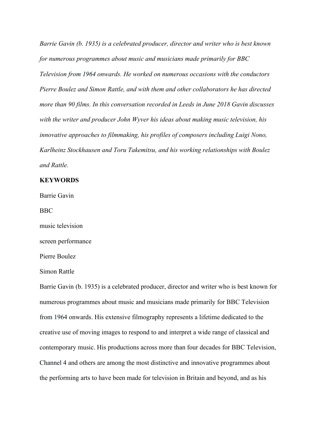*Barrie Gavin (b. 1935) is a celebrated producer, director and writer who is best known for numerous programmes about music and musicians made primarily for BBC Television from 1964 onwards. He worked on numerous occasions with the conductors Pierre Boulez and Simon Rattle, and with them and other collaborators he has directed more than 90 films. In this conversation recorded in Leeds in June 2018 Gavin discusses with the writer and producer John Wyver his ideas about making music television, his innovative approaches to filmmaking, his profiles of composers including Luigi Nono, Karlheinz Stockhausen and Toru Takemitsu, and his working relationships with Boulez and Rattle.*

### **KEYWORDS**

Barrie Gavin

BBC

music television

screen performance

Pierre Boulez

Simon Rattle

Barrie Gavin (b. 1935) is a celebrated producer, director and writer who is best known for numerous programmes about music and musicians made primarily for BBC Television from 1964 onwards. His extensive filmography represents a lifetime dedicated to the creative use of moving images to respond to and interpret a wide range of classical and contemporary music. His productions across more than four decades for BBC Television, Channel 4 and others are among the most distinctive and innovative programmes about the performing arts to have been made for television in Britain and beyond, and as his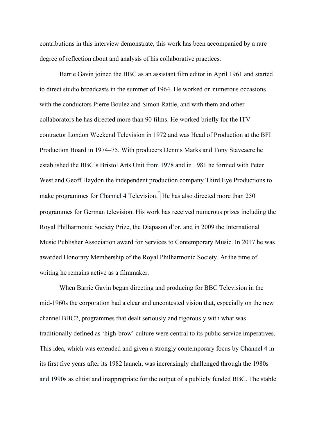contributions in this interview demonstrate, this work has been accompanied by a rare degree of reflection about and analysis of his collaborative practices.

Barrie Gavin joined the BBC as an assistant film editor in April 1961 and started to direct studio broadcasts in the summer of 1964. He worked on numerous occasions with the conductors Pierre Boulez and Simon Rattle, and with them and other collaborators he has directed more than 90 films. He worked briefly for the ITV contractor London Weekend Television in 1972 and was Head of Production at the BFI Production Board in 1974–75. With producers Dennis Marks and Tony Staveacre he established the BBC's Bristol Arts Unit from 1978 and in 1981 he formed with Peter West and Geoff Haydon the independent production company Third Eye Productions to make programmes for Channel 4 Television.<sup>[1]</sup> He has also directed more than 250 programmes for German television. His work has received numerous prizes including the Royal Philharmonic Society Prize, the Diapason d'or, and in 2009 the International Music Publisher Association award for Services to Contemporary Music. In 2017 he was awarded Honorary Membership of the Royal Philharmonic Society. At the time of writing he remains active as a filmmaker.

When Barrie Gavin began directing and producing for BBC Television in the mid-1960s the corporation had a clear and uncontested vision that, especially on the new channel BBC2, programmes that dealt seriously and rigorously with what was traditionally defined as 'high-brow' culture were central to its public service imperatives. This idea, which was extended and given a strongly contemporary focus by Channel 4 in its first five years after its 1982 launch, was increasingly challenged through the 1980s and 1990s as elitist and inappropriate for the output of a publicly funded BBC. The stable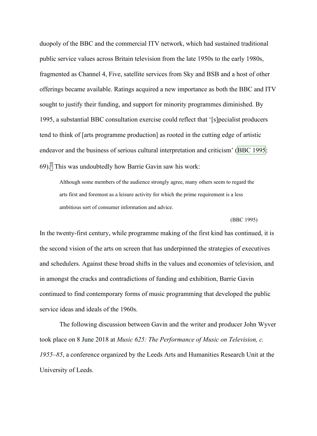duopoly of the BBC and the commercial ITV network, which had sustained traditional public service values across Britain television from the late 1950s to the early 1980s, fragmented as Channel 4, Five, satellite services from Sky and BSB and a host of other offerings became available. Ratings acquired a new importance as both the BBC and ITV sought to justify their funding, and support for minority programmes diminished. By 1995, a substantial BBC consultation exercise could reflect that '[s]pecialist producers tend to think of [arts programme production] as rooted in the cutting edge of artistic endeavor and the business of serious cultural interpretation and criticism' (BBC 1995): 69).<sup>[2]</sup> This was undoubtedly how Barrie Gavin saw his work:

Although some members of the audience strongly agree, many others seem to regard the arts first and foremost as a leisure activity for which the prime requirement is a less ambitious sort of consumer information and advice.

#### (BBC 1995)

In the twenty-first century, while programme making of the first kind has continued, it is the second vision of the arts on screen that has underpinned the strategies of executives and schedulers. Against these broad shifts in the values and economies of television, and in amongst the cracks and contradictions of funding and exhibition, Barrie Gavin continued to find contemporary forms of music programming that developed the public service ideas and ideals of the 1960s.

The following discussion between Gavin and the writer and producer John Wyver took place on 8 June 2018 at *Music 625: The Performance of Music on Television, c. 1955–85*, a conference organized by the Leeds Arts and Humanities Research Unit at the University of Leeds.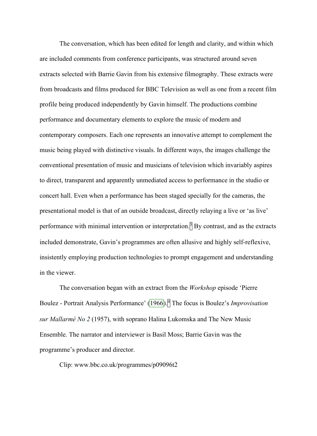The conversation, which has been edited for length and clarity, and within which are included comments from conference participants, was structured around seven extracts selected with Barrie Gavin from his extensive filmography. These extracts were from broadcasts and films produced for BBC Television as well as one from a recent film profile being produced independently by Gavin himself. The productions combine performance and documentary elements to explore the music of modern and contemporary composers. Each one represents an innovative attempt to complement the music being played with distinctive visuals. In different ways, the images challenge the conventional presentation of music and musicians of television which invariably aspires to direct, transparent and apparently unmediated access to performance in the studio or concert hall. Even when a performance has been staged specially for the cameras, the presentational model is that of an outside broadcast, directly relaying a live or 'as live' performance with minimal intervention or interpretation.<sup>[3]</sup> By contrast, and as the extracts included demonstrate, Gavin's programmes are often allusive and highly self-reflexive, insistently employing production technologies to prompt engagement and understanding in the viewer.

The conversation began with an extract from the *Workshop* episode 'Pierre Boulez - Portrait Analysis Performance' (1966).<sup>4</sup> The focus is Boulez's *Improvisation sur Mallarmé No 2* (1957), with soprano Halina Lukomska and The New Music Ensemble. The narrator and interviewer is Basil Moss; Barrie Gavin was the programme's producer and director.

Clip: www.bbc.co.uk/programmes/p09096t2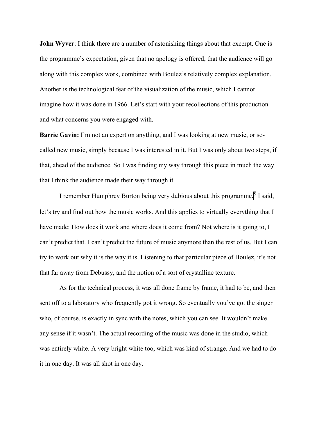**John Wyver**: I think there are a number of astonishing things about that excerpt. One is the programme's expectation, given that no apology is offered, that the audience will go along with this complex work, combined with Boulez's relatively complex explanation. Another is the technological feat of the visualization of the music, which I cannot imagine how it was done in 1966. Let's start with your recollections of this production and what concerns you were engaged with.

**Barrie Gavin:** I'm not an expert on anything, and I was looking at new music, or socalled new music, simply because I was interested in it. But I was only about two steps, if that, ahead of the audience. So I was finding my way through this piece in much the way that I think the audience made their way through it.

I remember Humphrey Burton being very dubious about this programme.<sup>[5]</sup> I said, let's try and find out how the music works. And this applies to virtually everything that I have made: How does it work and where does it come from? Not where is it going to, I can't predict that. I can't predict the future of music anymore than the rest of us. But I can try to work out why it is the way it is. Listening to that particular piece of Boulez, it's not that far away from Debussy, and the notion of a sort of crystalline texture.

As for the technical process, it was all done frame by frame, it had to be, and then sent off to a laboratory who frequently got it wrong. So eventually you've got the singer who, of course, is exactly in sync with the notes, which you can see. It wouldn't make any sense if it wasn't. The actual recording of the music was done in the studio, which was entirely white. A very bright white too, which was kind of strange. And we had to do it in one day. It was all shot in one day.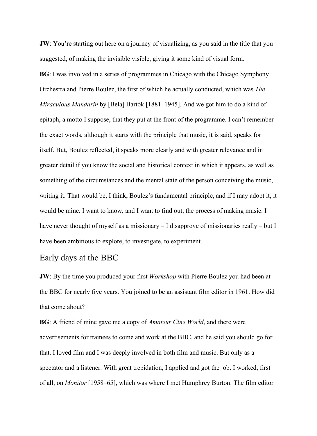**JW**: You're starting out here on a journey of visualizing, as you said in the title that you suggested, of making the invisible visible, giving it some kind of visual form. **BG**: I was involved in a series of programmes in Chicago with the Chicago Symphony Orchestra and Pierre Boulez, the first of which he actually conducted, which was *The Miraculous Mandarin* by [Bela] Bartók [1881–1945]. And we got him to do a kind of epitaph, a motto I suppose, that they put at the front of the programme. I can't remember the exact words, although it starts with the principle that music, it is said, speaks for itself. But, Boulez reflected, it speaks more clearly and with greater relevance and in greater detail if you know the social and historical context in which it appears, as well as something of the circumstances and the mental state of the person conceiving the music, writing it. That would be, I think, Boulez's fundamental principle, and if I may adopt it, it would be mine. I want to know, and I want to find out, the process of making music. I have never thought of myself as a missionary – I disapprove of missionaries really – but I have been ambitious to explore, to investigate, to experiment.

## Early days at the BBC

**JW**: By the time you produced your first *Workshop* with Pierre Boulez you had been at the BBC for nearly five years. You joined to be an assistant film editor in 1961. How did that come about?

**BG**: A friend of mine gave me a copy of *Amateur Cine World*, and there were advertisements for trainees to come and work at the BBC, and he said you should go for that. I loved film and I was deeply involved in both film and music. But only as a spectator and a listener. With great trepidation, I applied and got the job. I worked, first of all, on *Monitor* [1958–65], which was where I met Humphrey Burton. The film editor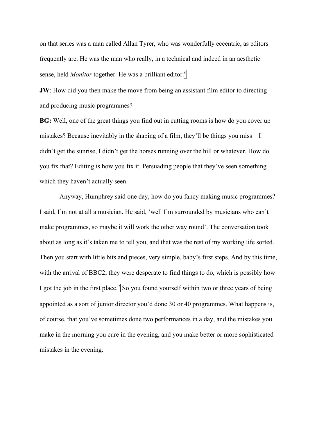on that series was a man called Allan Tyrer, who was wonderfully eccentric, as editors frequently are. He was the man who really, in a technical and indeed in an aesthetic sense, held *Monitor* together. He was a brilliant editor.<sup>6</sup>

**JW**: How did you then make the move from being an assistant film editor to directing and producing music programmes?

**BG:** Well, one of the great things you find out in cutting rooms is how do you cover up mistakes? Because inevitably in the shaping of a film, they'll be things you miss  $-I$ didn't get the sunrise, I didn't get the horses running over the hill or whatever. How do you fix that? Editing is how you fix it. Persuading people that they've seen something which they haven't actually seen.

Anyway, Humphrey said one day, how do you fancy making music programmes? I said, I'm not at all a musician. He said, 'well I'm surrounded by musicians who can't make programmes, so maybe it will work the other way round'. The conversation took about as long as it's taken me to tell you, and that was the rest of my working life sorted. Then you start with little bits and pieces, very simple, baby's first steps. And by this time, with the arrival of BBC2, they were desperate to find things to do, which is possibly how I got the job in the first place.<sup>7</sup> So you found yourself within two or three years of being appointed as a sort of junior director you'd done 30 or 40 programmes. What happens is, of course, that you've sometimes done two performances in a day, and the mistakes you make in the morning you cure in the evening, and you make better or more sophisticated mistakes in the evening.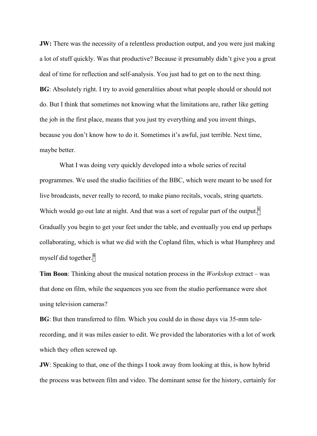**JW:** There was the necessity of a relentless production output, and you were just making a lot of stuff quickly. Was that productive? Because it presumably didn't give you a great deal of time for reflection and self-analysis. You just had to get on to the next thing. **BG**: Absolutely right. I try to avoid generalities about what people should or should not do. But I think that sometimes not knowing what the limitations are, rather like getting the job in the first place, means that you just try everything and you invent things, because you don't know how to do it. Sometimes it's awful, just terrible. Next time, maybe better.

What I was doing very quickly developed into a whole series of recital programmes. We used the studio facilities of the BBC, which were meant to be used for live broadcasts, never really to record, to make piano recitals, vocals, string quartets. Which would go out late at night. And that was a sort of regular part of the output.<sup>8</sup> Gradually you begin to get your feet under the table, and eventually you end up perhaps collaborating, which is what we did with the Copland film, which is what Humphrey and myself did together.<sup>9</sup>

**Tim Boon**: Thinking about the musical notation process in the *Workshop* extract – was that done on film, while the sequences you see from the studio performance were shot using television cameras?

**BG**: But then transferred to film. Which you could do in those days via 35-mm telerecording, and it was miles easier to edit. We provided the laboratories with a lot of work which they often screwed up.

**JW**: Speaking to that, one of the things I took away from looking at this, is how hybrid the process was between film and video. The dominant sense for the history, certainly for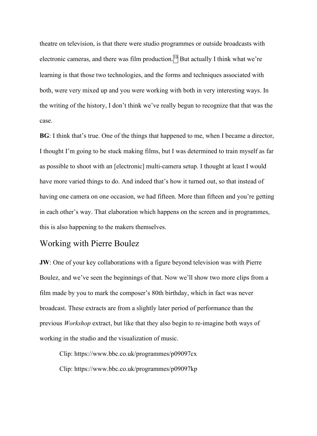theatre on television, is that there were studio programmes or outside broadcasts with electronic cameras, and there was film production.<sup>[10]</sup> But actually I think what we're learning is that those two technologies, and the forms and techniques associated with both, were very mixed up and you were working with both in very interesting ways. In the writing of the history, I don't think we've really begun to recognize that that was the case.

**BG**: I think that's true. One of the things that happened to me, when I became a director, I thought I'm going to be stuck making films, but I was determined to train myself as far as possible to shoot with an [electronic] multi-camera setup. I thought at least I would have more varied things to do. And indeed that's how it turned out, so that instead of having one camera on one occasion, we had fifteen. More than fifteen and you're getting in each other's way. That elaboration which happens on the screen and in programmes, this is also happening to the makers themselves.

# Working with Pierre Boulez

**JW**: One of your key collaborations with a figure beyond television was with Pierre Boulez, and we've seen the beginnings of that. Now we'll show two more clips from a film made by you to mark the composer's 80th birthday, which in fact was never broadcast. These extracts are from a slightly later period of performance than the previous *Workshop* extract, but like that they also begin to re-imagine both ways of working in the studio and the visualization of music.

Clip: https://www.bbc.co.uk/programmes/p09097cx Clip: https://www.bbc.co.uk/programmes/p09097kp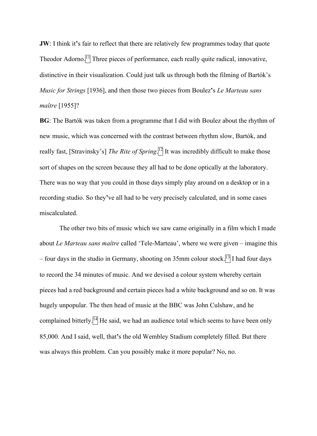**JW**: I think it**'**s fair to reflect that there are relatively few programmes today that quote Theodor Adorno. $\left[\frac{1}{1}\right]$  Three pieces of performance, each really quite radical, innovative, distinctive in their visualization. Could just talk us through both the filming of Bartók's *Music for Strings* [1936], and then those two pieces from Boulez**'**s *Le Marteau sans maître* [1955]?

**BG**: The Bartók was taken from a programme that I did with Boulez about the rhythm of new music, which was concerned with the contrast between rhythm slow, Bartók, and really fast, [Stravinsky's] *The Rite of Spring*. <sup>12</sup> It was incredibly difficult to make those sort of shapes on the screen because they all had to be done optically at the laboratory. There was no way that you could in those days simply play around on a desktop or in a recording studio. So they**'**ve all had to be very precisely calculated, and in some cases miscalculated.

The other two bits of music which we saw came originally in a film which I made about *Le Marteau sans maître* called 'Tele-Marteau', where we were given – imagine this – four days in the studio in Germany, shooting on  $35 \text{mm}$  colour stock.<sup>[3]</sup> I had four days to record the 34 minutes of music. And we devised a colour system whereby certain pieces had a red background and certain pieces had a white background and so on. It was hugely unpopular. The then head of music at the BBC was John Culshaw, and he complained bitterly.<sup>[14]</sup> He said, we had an audience total which seems to have been only 85,000. And I said, well, that**'**s the old Wembley Stadium completely filled. But there was always this problem. Can you possibly make it more popular? No, no.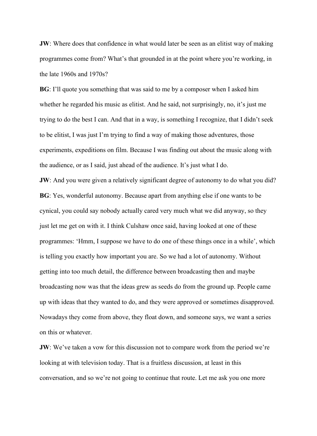**JW**: Where does that confidence in what would later be seen as an elitist way of making programmes come from? What's that grounded in at the point where you're working, in the late 1960s and 1970s?

**BG**: I'll quote you something that was said to me by a composer when I asked him whether he regarded his music as elitist. And he said, not surprisingly, no, it's just me trying to do the best I can. And that in a way, is something I recognize, that I didn't seek to be elitist, I was just I'm trying to find a way of making those adventures, those experiments, expeditions on film. Because I was finding out about the music along with the audience, or as I said, just ahead of the audience. It's just what I do.

**JW**: And you were given a relatively significant degree of autonomy to do what you did? **BG**: Yes, wonderful autonomy. Because apart from anything else if one wants to be cynical, you could say nobody actually cared very much what we did anyway, so they just let me get on with it. I think Culshaw once said, having looked at one of these programmes: 'Hmm, I suppose we have to do one of these things once in a while', which is telling you exactly how important you are. So we had a lot of autonomy. Without getting into too much detail, the difference between broadcasting then and maybe broadcasting now was that the ideas grew as seeds do from the ground up. People came up with ideas that they wanted to do, and they were approved or sometimes disapproved. Nowadays they come from above, they float down, and someone says, we want a series on this or whatever.

**JW**: We've taken a vow for this discussion not to compare work from the period we're looking at with television today. That is a fruitless discussion, at least in this conversation, and so we're not going to continue that route. Let me ask you one more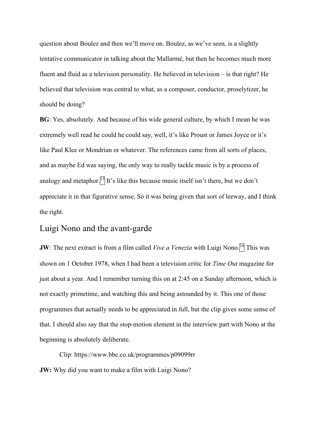question about Boulez and then we'll move on. Boulez, as we've seen, is a slightly tentative communicator in talking about the Mallarmé, but then he becomes much more fluent and fluid as a television personality. He believed in television – is that right? He believed that television was central to what, as a composer, conductor, proselytizer, he should be doing?

**BG**: Yes, absolutely. And because of his wide general culture, by which I mean he was extremely well read he could he could say, well, it's like Proust or James Joyce or it's like Paul Klee or Mondrian or whatever. The references came from all sorts of places, and as maybe Ed was saying, the only way to really tackle music is by a process of analogy and metaphor.<sup>[5]</sup> It's like this because music itself isn't there, but we don't appreciate it in that figurative sense. So it was being given that sort of leeway, and I think the right.

# Luigi Nono and the avant-garde

**JW**: The next extract is from a film called *Vive a Venezia* with Luigi Nono.<sup>[16]</sup> This was shown on 1 October 1978, when I had been a television critic for *Time Out* magazine for just about a year. And I remember turning this on at 2:45 on a Sunday afternoon, which is not exactly primetime, and watching this and being astounded by it. This one of those programmes that actually needs to be appreciated in full, but the clip gives some sense of that. I should also say that the stop-motion element in the interview part with Nono at the beginning is absolutely deliberate.

Clip: https://www.bbc.co.uk/programmes/p09099rr **JW:** Why did you want to make a film with Luigi Nono?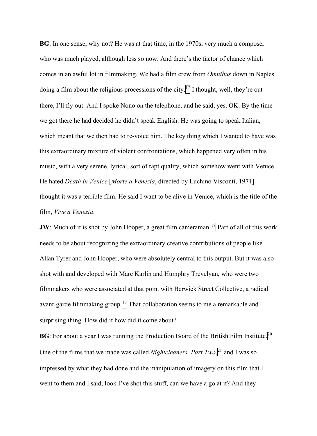**BG**: In one sense, why not? He was at that time, in the 1970s, very much a composer who was much played, although less so now. And there's the factor of chance which comes in an awful lot in filmmaking. We had a film crew from *Omnibus* down in Naples doing a film about the religious processions of the city.<sup>[7]</sup> I thought, well, they're out there, I'll fly out. And I spoke Nono on the telephone, and he said, yes. OK. By the time we got there he had decided he didn't speak English. He was going to speak Italian, which meant that we then had to re-voice him. The key thing which I wanted to have was this extraordinary mixture of violent confrontations, which happened very often in his music, with a very serene, lyrical, sort of rapt quality, which somehow went with Venice. He hated *Death in Venice* [*Morte a Venezia*, directed by Luchino Visconti, 1971]. thought it was a terrible film. He said I want to be alive in Venice, which is the title of the film, *Vive a Venezia*.

**JW**: Much of it is shot by John Hooper, a great film cameraman.<sup>[18]</sup> Part of all of this work needs to be about recognizing the extraordinary creative contributions of people like Allan Tyrer and John Hooper, who were absolutely central to this output. But it was also shot with and developed with Marc Karlin and Humphry Trevelyan, who were two filmmakers who were associated at that point with Berwick Street Collective, a radical avant-garde filmmaking group.<sup>[9]</sup> That collaboration seems to me a remarkable and surprising thing. How did it how did it come about?

**BG**: For about a year I was running the Production Board of the British Film Institute.<sup>20</sup> One of the films that we made was called *Nightcleaners, Part Two*, $\left| \frac{2}{1} \right|$  and I was so impressed by what they had done and the manipulation of imagery on this film that I went to them and I said, look I've shot this stuff, can we have a go at it? And they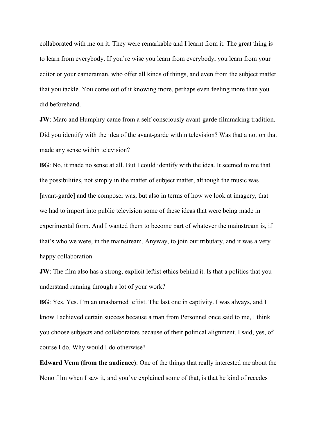collaborated with me on it. They were remarkable and I learnt from it. The great thing is to learn from everybody. If you're wise you learn from everybody, you learn from your editor or your cameraman, who offer all kinds of things, and even from the subject matter that you tackle. You come out of it knowing more, perhaps even feeling more than you did beforehand.

**JW**: Marc and Humphry came from a self-consciously avant-garde filmmaking tradition. Did you identify with the idea of the avant-garde within television? Was that a notion that made any sense within television?

**BG**: No, it made no sense at all. But I could identify with the idea. It seemed to me that the possibilities, not simply in the matter of subject matter, although the music was [avant-garde] and the composer was, but also in terms of how we look at imagery, that we had to import into public television some of these ideas that were being made in experimental form. And I wanted them to become part of whatever the mainstream is, if that's who we were, in the mainstream. Anyway, to join our tributary, and it was a very happy collaboration.

**JW**: The film also has a strong, explicit leftist ethics behind it. Is that a politics that you understand running through a lot of your work?

**BG**: Yes. Yes. I'm an unashamed leftist. The last one in captivity. I was always, and I know I achieved certain success because a man from Personnel once said to me, I think you choose subjects and collaborators because of their political alignment. I said, yes, of course I do. Why would I do otherwise?

**Edward Venn (from the audience)**: One of the things that really interested me about the Nono film when I saw it, and you've explained some of that, is that he kind of recedes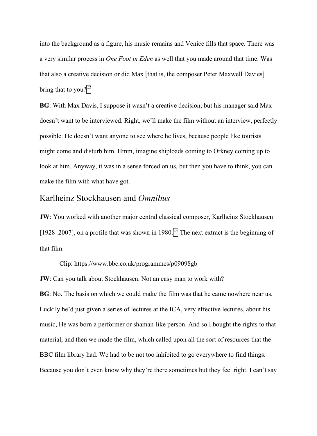into the background as a figure, his music remains and Venice fills that space. There was a very similar process in *One Foot in Eden* as well that you made around that time. Was that also a creative decision or did Max [that is, the composer Peter Maxwell Davies] bring that to you? $\sqrt{2^2}$ 

**BG**: With Max Davis, I suppose it wasn't a creative decision, but his manager said Max doesn't want to be interviewed. Right, we'll make the film without an interview, perfectly possible. He doesn't want anyone to see where he lives, because people like tourists might come and disturb him. Hmm, imagine shiploads coming to Orkney coming up to look at him. Anyway, it was in a sense forced on us, but then you have to think, you can make the film with what have got.

## Karlheinz Stockhausen and *Omnibus*

**JW**: You worked with another major central classical composer, Karlheinz Stockhausen [1928–2007], on a profile that was shown in 1980.<sup>[3]</sup> The next extract is the beginning of that film.

Clip: https://www.bbc.co.uk/programmes/p09098gb

**JW**: Can you talk about Stockhausen. Not an easy man to work with?

**BG**: No. The basis on which we could make the film was that he came nowhere near us. Luckily he'd just given a series of lectures at the ICA, very effective lectures, about his music, He was born a performer or shaman-like person. And so I bought the rights to that material, and then we made the film, which called upon all the sort of resources that the BBC film library had. We had to be not too inhibited to go everywhere to find things. Because you don't even know why they're there sometimes but they feel right. I can't say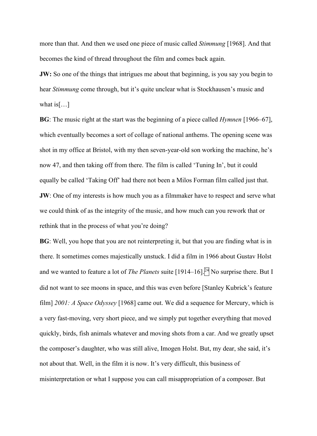more than that. And then we used one piece of music called *Stimmung* [1968]. And that becomes the kind of thread throughout the film and comes back again.

**JW:** So one of the things that intrigues me about that beginning, is you say you begin to hear *Stimmung* come through, but it's quite unclear what is Stockhausen's music and what is[…]

**BG**: The music right at the start was the beginning of a piece called *Hymnen* [1966–67], which eventually becomes a sort of collage of national anthems. The opening scene was shot in my office at Bristol, with my then seven-year-old son working the machine, he's now 47, and then taking off from there. The film is called 'Tuning In', but it could equally be called 'Taking Off' had there not been a Milos Forman film called just that. **JW**: One of my interests is how much you as a filmmaker have to respect and serve what we could think of as the integrity of the music, and how much can you rework that or rethink that in the process of what you're doing?

**BG**: Well, you hope that you are not reinterpreting it, but that you are finding what is in there. It sometimes comes majestically unstuck. I did a film in 1966 about Gustav Holst and we wanted to feature a lot of *The Planets* suite  $[1914–16]$ .<sup>[24]</sup> No surprise there. But I did not want to see moons in space, and this was even before [Stanley Kubrick's feature film] *2001: A Space Odyssey* [1968] came out. We did a sequence for Mercury, which is a very fast-moving, very short piece, and we simply put together everything that moved quickly, birds, fish animals whatever and moving shots from a car. And we greatly upset the composer's daughter, who was still alive, Imogen Holst. But, my dear, she said, it's not about that. Well, in the film it is now. It's very difficult, this business of misinterpretation or what I suppose you can call misappropriation of a composer. But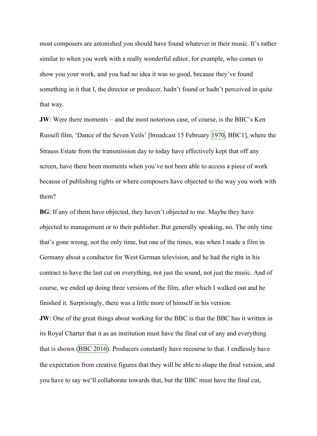most composers are astonished you should have found whatever in their music. It's rather similar to when you work with a really wonderful editor, for example, who comes to show you your work, and you had no idea it was so good, because they've found something in it that I, the director or producer, hadn't found or hadn't perceived in quite that way.

**JW**: Were there moments – and the most notorious case, of course, is the BBC's Ken Russell film, 'Dance of the Seven Veils' [broadcast 15 February 1970, BBC1], where the Strauss Estate from the transmission day to today have effectively kept that off any screen, have there been moments when you've not been able to access a piece of work because of publishing rights or where composers have objected to the way you work with them?

**BG**: If any of them have objected, they haven't objected to me. Maybe they have objected to management or to their publisher. But generally speaking, no. The only time that's gone wrong, not the only time, but one of the times, was when I made a film in Germany about a conductor for West German television, and he had the right in his contract to have the last cut on everything, not just the sound, not just the music. And of course, we ended up doing three versions of the film, after which I walked out and he finished it. Surprisingly, there was a little more of himself in his version.

**JW**: One of the great things about working for the BBC is that the BBC has it written in its Royal Charter that it as an institution must have the final cut of any and everything that is shown (BBC 2016). Producers constantly have recourse to that. I endlessly have the expectation from creative figures that they will be able to shape the final version, and you have to say we'll collaborate towards that, but the BBC must have the final cut,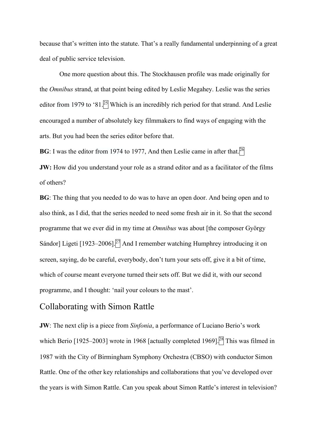because that's written into the statute. That's a really fundamental underpinning of a great deal of public service television.

One more question about this. The Stockhausen profile was made originally for the *Omnibus* strand, at that point being edited by Leslie Megahey. Leslie was the series editor from 1979 to '81.<sup>[25]</sup> Which is an incredibly rich period for that strand. And Leslie encouraged a number of absolutely key filmmakers to find ways of engaging with the arts. But you had been the series editor before that.

**BG**: I was the editor from 1974 to 1977, And then Leslie came in after that.<sup>[26]</sup>

**JW:** How did you understand your role as a strand editor and as a facilitator of the films of others?

**BG**: The thing that you needed to do was to have an open door. And being open and to also think, as I did, that the series needed to need some fresh air in it. So that the second programme that we ever did in my time at *Omnibus* was about [the composer György Sándor] Ligeti [1923–2006]. $^{27}$  And I remember watching Humphrey introducing it on screen, saying, do be careful, everybody, don't turn your sets off, give it a bit of time, which of course meant everyone turned their sets off. But we did it, with our second programme, and I thought: 'nail your colours to the mast'.

# Collaborating with Simon Rattle

**JW**: The next clip is a piece from *Sinfonia*, a performance of Luciano Berio's work which Berio [1925–2003] wrote in 1968 [actually completed 1969].<sup>[28]</sup> This was filmed in 1987 with the City of Birmingham Symphony Orchestra (CBSO) with conductor Simon Rattle. One of the other key relationships and collaborations that you've developed over the years is with Simon Rattle. Can you speak about Simon Rattle's interest in television?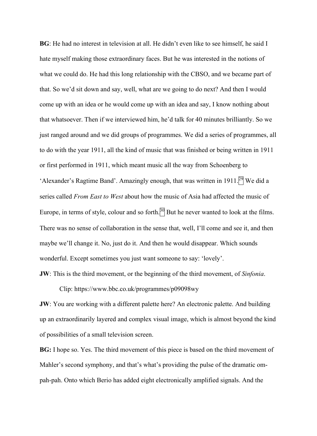**BG**: He had no interest in television at all. He didn't even like to see himself, he said I hate myself making those extraordinary faces. But he was interested in the notions of what we could do. He had this long relationship with the CBSO, and we became part of that. So we'd sit down and say, well, what are we going to do next? And then I would come up with an idea or he would come up with an idea and say, I know nothing about that whatsoever. Then if we interviewed him, he'd talk for 40 minutes brilliantly. So we just ranged around and we did groups of programmes. We did a series of programmes, all to do with the year 1911, all the kind of music that was finished or being written in 1911 or first performed in 1911, which meant music all the way from Schoenberg to 'Alexander's Ragtime Band'. Amazingly enough, that was written in 1911.<sup>29</sup> We did a series called *From East to West* about how the music of Asia had affected the music of Europe, in terms of style, colour and so forth. $\frac{30}{10}$  But he never wanted to look at the films. There was no sense of collaboration in the sense that, well, I'll come and see it, and then maybe we'll change it. No, just do it. And then he would disappear. Which sounds wonderful. Except sometimes you just want someone to say: 'lovely'.

**JW**: This is the third movement, or the beginning of the third movement, of *Sinfonia*.

Clip: https://www.bbc.co.uk/programmes/p09098wy

**JW**: You are working with a different palette here? An electronic palette. And building up an extraordinarily layered and complex visual image, which is almost beyond the kind of possibilities of a small television screen.

**BG:** I hope so. Yes. The third movement of this piece is based on the third movement of Mahler's second symphony, and that's what's providing the pulse of the dramatic ompah-pah. Onto which Berio has added eight electronically amplified signals. And the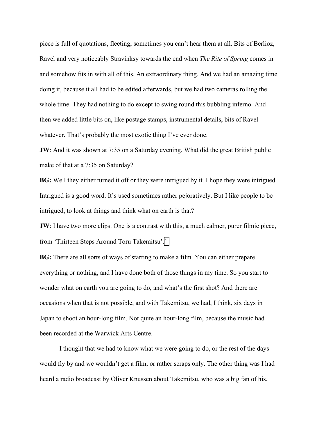piece is full of quotations, fleeting, sometimes you can't hear them at all. Bits of Berlioz, Ravel and very noticeably Stravinksy towards the end when *The Rite of Spring* comes in and somehow fits in with all of this. An extraordinary thing. And we had an amazing time doing it, because it all had to be edited afterwards, but we had two cameras rolling the whole time. They had nothing to do except to swing round this bubbling inferno. And then we added little bits on, like postage stamps, instrumental details, bits of Ravel whatever. That's probably the most exotic thing I've ever done.

**JW**: And it was shown at 7:35 on a Saturday evening. What did the great British public make of that at a 7:35 on Saturday?

**BG:** Well they either turned it off or they were intrigued by it. I hope they were intrigued. Intrigued is a good word. It's used sometimes rather pejoratively. But I like people to be intrigued, to look at things and think what on earth is that?

**JW**: I have two more clips. One is a contrast with this, a much calmer, purer filmic piece, from 'Thirteen Steps Around Toru Takemitsu'.<sup>[31</sup>]

**BG:** There are all sorts of ways of starting to make a film. You can either prepare everything or nothing, and I have done both of those things in my time. So you start to wonder what on earth you are going to do, and what's the first shot? And there are occasions when that is not possible, and with Takemitsu, we had, I think, six days in Japan to shoot an hour-long film. Not quite an hour-long film, because the music had been recorded at the Warwick Arts Centre.

I thought that we had to know what we were going to do, or the rest of the days would fly by and we wouldn't get a film, or rather scraps only. The other thing was I had heard a radio broadcast by Oliver Knussen about Takemitsu, who was a big fan of his,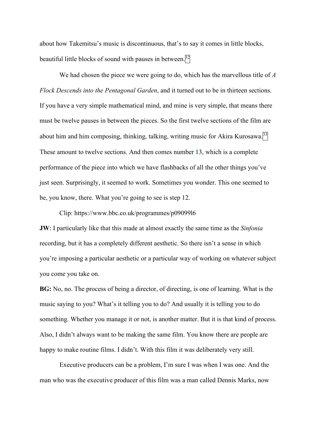about how Takemitsu's music is discontinuous, that's to say it comes in little blocks, beautiful little blocks of sound with pauses in between.<sup>[32]</sup>

We had chosen the piece we were going to do, which has the marvellous title of *A Flock Descends into the Pentagonal Garden*, and it turned out to be in thirteen sections. If you have a very simple mathematical mind, and mine is very simple, that means there must be twelve pauses in between the pieces. So the first twelve sections of the film are about him and him composing, thinking, talking, writing music for Akira Kurosawa. $^{33}$ These amount to twelve sections. And then comes number 13, which is a complete performance of the piece into which we have flashbacks of all the other things you've just seen. Surprisingly, it seemed to work. Sometimes you wonder. This one seemed to be, you know, there. What you're going to see is step 12.

#### Clip: https://www.bbc.co.uk/programmes/p09099l6

**JW**: I particularly like that this made at almost exactly the same time as the *Sinfonia* recording, but it has a completely different aesthetic. So there isn't a sense in which you're imposing a particular aesthetic or a particular way of working on whatever subject you come you take on.

**BG:** No, no. The process of being a director, of directing, is one of learning. What is the music saying to you? What's it telling you to do? And usually it is telling you to do something. Whether you manage it or not, is another matter. But it is that kind of process. Also, I didn't always want to be making the same film. You know there are people are happy to make routine films. I didn't. With this film it was deliberately very still.

Executive producers can be a problem, I'm sure I was when I was one. And the man who was the executive producer of this film was a man called Dennis Marks, now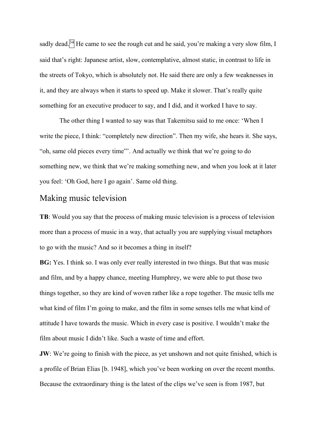sadly dead.<sup>[34]</sup> He came to see the rough cut and he said, you're making a very slow film, I said that's right: Japanese artist, slow, contemplative, almost static, in contrast to life in the streets of Tokyo, which is absolutely not. He said there are only a few weaknesses in it, and they are always when it starts to speed up. Make it slower. That's really quite something for an executive producer to say, and I did, and it worked I have to say.

The other thing I wanted to say was that Takemitsu said to me once: 'When I write the piece, I think: "completely new direction". Then my wife, she hears it. She says, "oh, same old pieces every time"'. And actually we think that we're going to do something new, we think that we're making something new, and when you look at it later you feel: 'Oh God, here I go again'. Same old thing.

# Making music television

**TB**: Would you say that the process of making music television is a process of television more than a process of music in a way, that actually you are supplying visual metaphors to go with the music? And so it becomes a thing in itself?

**BG:** Yes. I think so. I was only ever really interested in two things. But that was music and film, and by a happy chance, meeting Humphrey, we were able to put those two things together, so they are kind of woven rather like a rope together. The music tells me what kind of film I'm going to make, and the film in some senses tells me what kind of attitude I have towards the music. Which in every case is positive. I wouldn't make the film about music I didn't like. Such a waste of time and effort.

**JW**: We're going to finish with the piece, as yet unshown and not quite finished, which is a profile of Brian Elias [b. 1948], which you've been working on over the recent months. Because the extraordinary thing is the latest of the clips we've seen is from 1987, but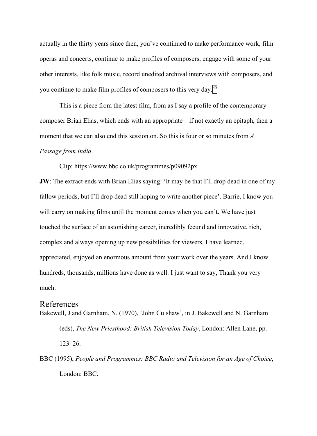actually in the thirty years since then, you've continued to make performance work, film operas and concerts, continue to make profiles of composers, engage with some of your other interests, like folk music, record unedited archival interviews with composers, and you continue to make film profiles of composers to this very day. $\frac{35}{3}$ 

This is a piece from the latest film, from as I say a profile of the contemporary composer Brian Elias, which ends with an appropriate – if not exactly an epitaph, then a moment that we can also end this session on. So this is four or so minutes from *A Passage from India*.

Clip: https://www.bbc.co.uk/programmes/p09092px

**JW**: The extract ends with Brian Elias saying: 'It may be that I'll drop dead in one of my fallow periods, but I'll drop dead still hoping to write another piece'. Barrie, I know you will carry on making films until the moment comes when you can't. We have just touched the surface of an astonishing career, incredibly fecund and innovative, rich, complex and always opening up new possibilities for viewers. I have learned, appreciated, enjoyed an enormous amount from your work over the years. And I know hundreds, thousands, millions have done as well. I just want to say, Thank you very much.

### References

- Bakewell, J and Garnham, N. (1970), 'John Culshaw', in J. Bakewell and N. Garnham (eds), *The New Priesthood: British Television Today*, London: Allen Lane, pp. 123–26.
- BBC (1995), *People and Programmes: BBC Radio and Television for an Age of Choice*, London: BBC.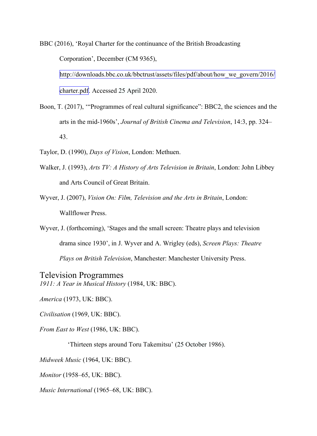BBC (2016), 'Royal Charter for the continuance of the British Broadcasting Corporation', December (CM 9365), http://downloads.bbc.co.uk/bbctrust/assets/files/pdf/about/how we\_govern/2016/ charter.pdf. Accessed 25 April 2020.

- Boon, T. (2017), '"Programmes of real cultural significance": BBC2, the sciences and the arts in the mid-1960s', *Journal of British Cinema and Television*, 14:3, pp. 324– 43.
- Taylor, D. (1990), *Days of Vision*, London: Methuen.
- Walker, J. (1993), *Arts TV: A History of Arts Television in Britain*, London: John Libbey and Arts Council of Great Britain.
- Wyver, J. (2007), *Vision On: Film, Television and the Arts in Britain*, London: Wallflower Press.
- Wyver, J. (forthcoming), 'Stages and the small screen: Theatre plays and television drama since 1930', in J. Wyver and A. Wrigley (eds), *Screen Plays: Theatre Plays on British Television*, Manchester: Manchester University Press.

Television Programmes *1911: A Year in Musical History* (1984, UK: BBC).

*America* (1973, UK: BBC).

*Civilisation* (1969, UK: BBC).

*From East to West* (1986, UK: BBC).

'Thirteen steps around Toru Takemitsu' (25 October 1986).

*Midweek Music* (1964, UK: BBC).

*Monitor* (1958–65, UK: BBC).

*Music International* (1965–68, UK: BBC).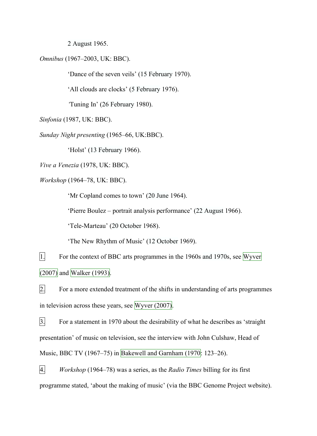2 August 1965.

*Omnibus* (1967–2003, UK: BBC).

'Dance of the seven veils' (15 February 1970).

'All clouds are clocks' (5 February 1976).

*'*Tuning In' (26 February 1980).

*Sinfonia* (1987, UK: BBC).

*Sunday Night presenting* (1965–66, UK:BBC).

'Holst' (13 February 1966).

*Vive a Venezia* (1978, UK: BBC).

*Workshop* (1964–78, UK: BBC).

'Mr Copland comes to town' (20 June 1964).

'Pierre Boulez – portrait analysis performance' (22 August 1966).

'Tele-Marteau' (20 October 1968).

'The New Rhythm of Music' (12 October 1969).

1. For the context of BBC arts programmes in the 1960s and 1970s, see Wyver (2007) and Walker (1993).

 $2.$  For a more extended treatment of the shifts in understanding of arts programmes in television across these years, see Wyver (2007).

3. For a statement in 1970 about the desirability of what he describes as 'straight presentation' of music on television, see the interview with John Culshaw, Head of Music, BBC TV (1967–75) in Bakewell and Garnham (1970: 123–26).

4. *Workshop* (1964–78) was a series, as the *Radio Times* billing for its first programme stated, 'about the making of music' (via the BBC Genome Project website).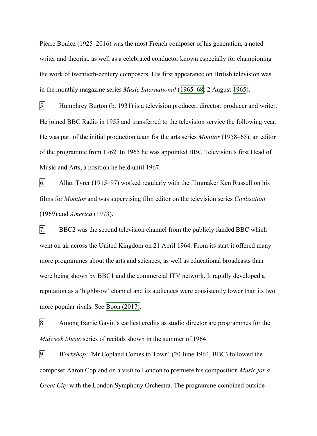Pierre Boulez (1925–2016) was the most French composer of his generation, a noted writer and theorist, as well as a celebrated conductor known especially for championing the work of twentieth-century composers. His first appearance on British television was in the monthly magazine series *Music International* (1965–68; 2 August 1965).

5. Humphrey Burton (b. 1931) is a television producer, director, producer and writer. He joined BBC Radio in 1955 and transferred to the television service the following year. He was part of the initial production team for the arts series *Monitor* (1958–65), an editor of the programme from 1962. In 1965 he was appointed BBC Television's first Head of Music and Arts, a position he held until 1967.

6. Allan Tyrer (1915–97) worked regularly with the filmmaker Ken Russell on his films for *Monitor* and was supervising film editor on the television series *Civilisation* (1969) and *America* (1973).

7. BBC2 was the second television channel from the publicly funded BBC which went on air across the United Kingdom on 21 April 1964. From its start it offered many more programmes about the arts and sciences, as well as educational broadcasts than were being shown by BBC1 and the commercial ITV network. It rapidly developed a reputation as a 'highbrow' channel and its audiences were consistently lower than its two more popular rivals. See Boon (2017).

8. Among Barrie Gavin's earliest credits as studio director are programmes for the *Midweek Music* series of recitals shown in the summer of 1964.

9. *Workshop: '*Mr Copland Comes to Town' (20 June 1964, BBC) followed the composer Aaron Copland on a visit to London to premiere his composition *Music for a Great City* with the London Symphony Orchestra. The programme combined outside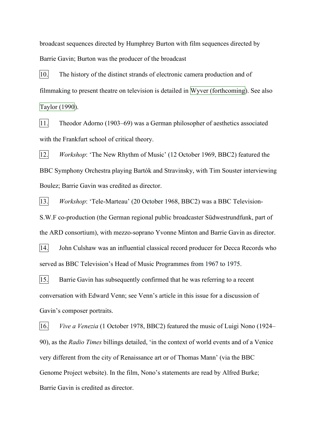broadcast sequences directed by Humphrey Burton with film sequences directed by Barrie Gavin; Burton was the producer of the broadcast

10. The history of the distinct strands of electronic camera production and of filmmaking to present theatre on television is detailed in Wyver (forthcoming). See also Taylor (1990).

11. Theodor Adorno (1903–69) was a German philosopher of aesthetics associated with the Frankfurt school of critical theory.

12. *Workshop*: 'The New Rhythm of Music' (12 October 1969, BBC2) featured the BBC Symphony Orchestra playing Bartók and Stravinsky, with Tim Souster interviewing Boulez; Barrie Gavin was credited as director.

13. *Workshop*: 'Tele-Marteau' (20 October 1968, BBC2) was a BBC Television-S.W.F co-production (the German regional public broadcaster Südwestrundfunk, part of the ARD consortium), with mezzo-soprano Yvonne Minton and Barrie Gavin as director.

14. John Culshaw was an influential classical record producer for Decca Records who served as BBC Television's Head of Music Programmes from 1967 to 1975.

15. Barrie Gavin has subsequently confirmed that he was referring to a recent conversation with Edward Venn; see Venn's article in this issue for a discussion of Gavin's composer portraits.

16. *Vive a Venezia* (1 October 1978, BBC2) featured the music of Luigi Nono (1924– 90), as the *Radio Times* billings detailed, 'in the context of world events and of a Venice very different from the city of Renaissance art or of Thomas Mann' (via the BBC Genome Project website). In the film, Nono's statements are read by Alfred Burke; Barrie Gavin is credited as director.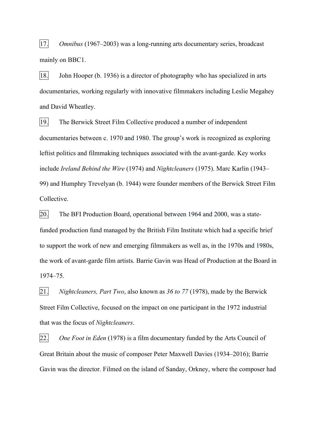17. *Omnibus* (1967–2003) was a long-running arts documentary series, broadcast mainly on BBC1.

18. John Hooper (b. 1936) is a director of photography who has specialized in arts documentaries, working regularly with innovative filmmakers including Leslie Megahey and David Wheatley.

19. The Berwick Street Film Collective produced a number of independent documentaries between c. 1970 and 1980. The group's work is recognized as exploring leftist politics and filmmaking techniques associated with the avant-garde. Key works include *Ireland Behind the Wire* (1974) and *Nightcleaners* (1975). Marc Karlin (1943– 99) and Humphry Trevelyan (b. 1944) were founder members of the Berwick Street Film Collective.

20. The BFI Production Board, operational between 1964 and 2000, was a statefunded production fund managed by the British Film Institute which had a specific brief to support the work of new and emerging filmmakers as well as, in the 1970s and 1980s, the work of avant-garde film artists. Barrie Gavin was Head of Production at the Board in 1974–75.

21. *Nightcleaners, Part Two*, also known as *36 to 77* (1978), made by the Berwick Street Film Collective, focused on the impact on one participant in the 1972 industrial that was the focus of *Nightcleaners*.

22. *One Foot in Eden* (1978) is a film documentary funded by the Arts Council of Great Britain about the music of composer Peter Maxwell Davies (1934–2016); Barrie Gavin was the director. Filmed on the island of Sanday, Orkney, where the composer had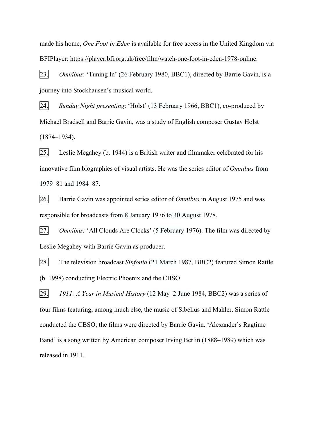made his home, *One Foot in Eden* is available for free access in the United Kingdom via BFIPlayer: https://player.bfi.org.uk/free/film/watch-one-foot-in-eden-1978-online.

23. *Omnibus*: 'Tuning In' (26 February 1980, BBC1), directed by Barrie Gavin, is a journey into Stockhausen's musical world.

24. *Sunday Night presenting*: 'Holst' (13 February 1966, BBC1), co-produced by Michael Bradsell and Barrie Gavin, was a study of English composer Gustav Holst (1874–1934).

25. Leslie Megahey (b. 1944) is a British writer and filmmaker celebrated for his innovative film biographies of visual artists. He was the series editor of *Omnibus* from 1979–81 and 1984–87.

26. Barrie Gavin was appointed series editor of *Omnibus* in August 1975 and was responsible for broadcasts from 8 January 1976 to 30 August 1978.

27. *Omnibus:* 'All Clouds Are Clocks' (5 February 1976). The film was directed by Leslie Megahey with Barrie Gavin as producer.

28. The television broadcast *Sinfonia* (21 March 1987, BBC2) featured Simon Rattle (b. 1998) conducting Electric Phoenix and the CBSO.

29. *1911: A Year in Musical History* (12 May–2 June 1984, BBC2) was a series of four films featuring, among much else, the music of Sibelius and Mahler. Simon Rattle conducted the CBSO; the films were directed by Barrie Gavin. 'Alexander's Ragtime Band' is a song written by American composer Irving Berlin (1888–1989) which was released in 1911.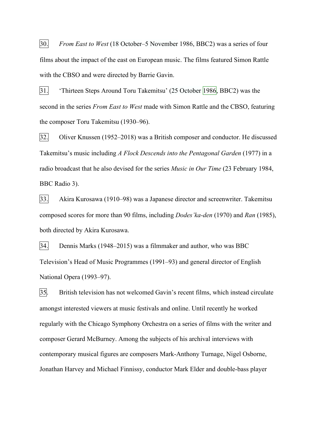30. *From East to West* (18 October–5 November 1986, BBC2) was a series of four films about the impact of the east on European music. The films featured Simon Rattle with the CBSO and were directed by Barrie Gavin.

31. 'Thirteen Steps Around Toru Takemitsu' (25 October 1986, BBC2) was the second in the series *From East to West* made with Simon Rattle and the CBSO, featuring the composer Toru Takemitsu (1930–96).

32. Oliver Knussen (1952–2018) was a British composer and conductor. He discussed Takemitsu's music including *A Flock Descends into the Pentagonal Garden* (1977) in a radio broadcast that he also devised for the series *Music in Our Time* (23 February 1984, BBC Radio 3).

33. Akira Kurosawa (1910–98) was a Japanese director and screenwriter. Takemitsu composed scores for more than 90 films, including *Dodes'ka-den* (1970) and *Ran* (1985), both directed by Akira Kurosawa.

34. Dennis Marks (1948–2015) was a filmmaker and author, who was BBC Television's Head of Music Programmes (1991–93) and general director of English National Opera (1993–97).

35. British television has not welcomed Gavin's recent films, which instead circulate amongst interested viewers at music festivals and online. Until recently he worked regularly with the Chicago Symphony Orchestra on a series of films with the writer and composer Gerard McBurney. Among the subjects of his archival interviews with contemporary musical figures are composers Mark-Anthony Turnage, Nigel Osborne, Jonathan Harvey and Michael Finnissy, conductor Mark Elder and double-bass player